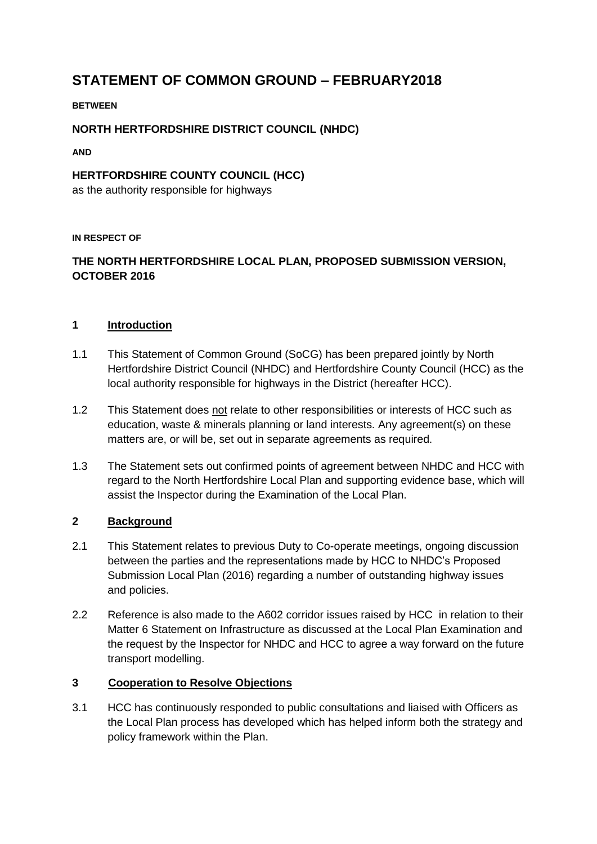## **STATEMENT OF COMMON GROUND – FEBRUARY2018**

#### **BETWEEN**

#### **NORTH HERTFORDSHIRE DISTRICT COUNCIL (NHDC)**

**AND** 

# **HERTFORDSHIRE COUNTY COUNCIL (HCC)**

as the authority responsible for highways

#### **IN RESPECT OF**

### **THE NORTH HERTFORDSHIRE LOCAL PLAN, PROPOSED SUBMISSION VERSION, OCTOBER 2016**

#### **1 Introduction**

- 1.1 This Statement of Common Ground (SoCG) has been prepared jointly by North Hertfordshire District Council (NHDC) and Hertfordshire County Council (HCC) as the local authority responsible for highways in the District (hereafter HCC).
- 1.2 This Statement does not relate to other responsibilities or interests of HCC such as education, waste & minerals planning or land interests. Any agreement(s) on these matters are, or will be, set out in separate agreements as required.
- 1.3 The Statement sets out confirmed points of agreement between NHDC and HCC with regard to the North Hertfordshire Local Plan and supporting evidence base, which will assist the Inspector during the Examination of the Local Plan.

#### **2 Background**

- 2.1 This Statement relates to previous Duty to Co-operate meetings, ongoing discussion between the parties and the representations made by HCC to NHDC's Proposed Submission Local Plan (2016) regarding a number of outstanding highway issues and policies.
- 2.2 Reference is also made to the A602 corridor issues raised by HCC in relation to their Matter 6 Statement on Infrastructure as discussed at the Local Plan Examination and the request by the Inspector for NHDC and HCC to agree a way forward on the future transport modelling.

#### **3 Cooperation to Resolve Objections**

3.1 HCC has continuously responded to public consultations and liaised with Officers as the Local Plan process has developed which has helped inform both the strategy and policy framework within the Plan.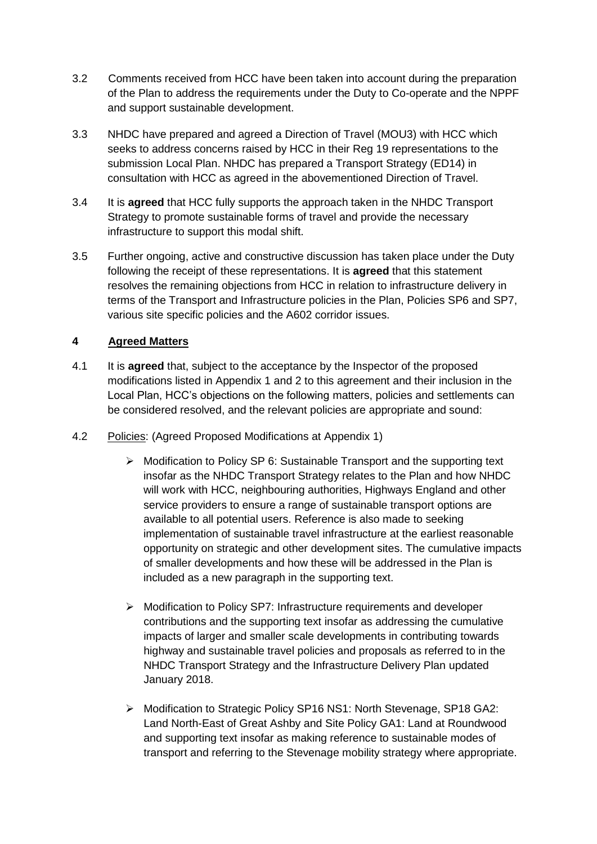- 3.2 Comments received from HCC have been taken into account during the preparation of the Plan to address the requirements under the Duty to Co-operate and the NPPF and support sustainable development.
- 3.3 NHDC have prepared and agreed a Direction of Travel (MOU3) with HCC which seeks to address concerns raised by HCC in their Reg 19 representations to the submission Local Plan. NHDC has prepared a Transport Strategy (ED14) in consultation with HCC as agreed in the abovementioned Direction of Travel.
- 3.4 It is **agreed** that HCC fully supports the approach taken in the NHDC Transport Strategy to promote sustainable forms of travel and provide the necessary infrastructure to support this modal shift.
- 3.5 Further ongoing, active and constructive discussion has taken place under the Duty following the receipt of these representations. It is **agreed** that this statement resolves the remaining objections from HCC in relation to infrastructure delivery in terms of the Transport and Infrastructure policies in the Plan, Policies SP6 and SP7, various site specific policies and the A602 corridor issues.

#### **4 Agreed Matters**

- 4.1 It is **agreed** that, subject to the acceptance by the Inspector of the proposed modifications listed in Appendix 1 and 2 to this agreement and their inclusion in the Local Plan, HCC's objections on the following matters, policies and settlements can be considered resolved, and the relevant policies are appropriate and sound:
- 4.2 Policies: (Agreed Proposed Modifications at Appendix 1)
	- $\triangleright$  Modification to Policy SP 6: Sustainable Transport and the supporting text insofar as the NHDC Transport Strategy relates to the Plan and how NHDC will work with HCC, neighbouring authorities, Highways England and other service providers to ensure a range of sustainable transport options are available to all potential users. Reference is also made to seeking implementation of sustainable travel infrastructure at the earliest reasonable opportunity on strategic and other development sites. The cumulative impacts of smaller developments and how these will be addressed in the Plan is included as a new paragraph in the supporting text.
	- $\triangleright$  Modification to Policy SP7: Infrastructure requirements and developer contributions and the supporting text insofar as addressing the cumulative impacts of larger and smaller scale developments in contributing towards highway and sustainable travel policies and proposals as referred to in the NHDC Transport Strategy and the Infrastructure Delivery Plan updated January 2018.
	- ▶ Modification to Strategic Policy SP16 NS1: North Stevenage, SP18 GA2: Land North-East of Great Ashby and Site Policy GA1: Land at Roundwood and supporting text insofar as making reference to sustainable modes of transport and referring to the Stevenage mobility strategy where appropriate.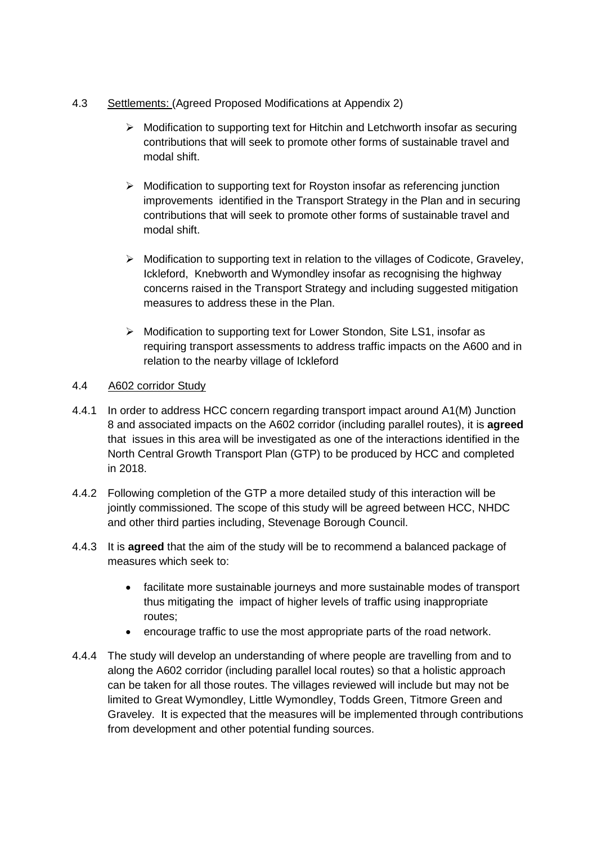- 4.3 Settlements: (Agreed Proposed Modifications at Appendix 2)
	- $\triangleright$  Modification to supporting text for Hitchin and Letchworth insofar as securing contributions that will seek to promote other forms of sustainable travel and modal shift.
	- $\triangleright$  Modification to supporting text for Royston insofar as referencing junction improvements identified in the Transport Strategy in the Plan and in securing contributions that will seek to promote other forms of sustainable travel and modal shift.
	- $\triangleright$  Modification to supporting text in relation to the villages of Codicote, Graveley, Ickleford, Knebworth and Wymondley insofar as recognising the highway concerns raised in the Transport Strategy and including suggested mitigation measures to address these in the Plan.
	- Modification to supporting text for Lower Stondon, Site LS1, insofar as requiring transport assessments to address traffic impacts on the A600 and in relation to the nearby village of Ickleford

#### 4.4 A602 corridor Study

- 4.4.1 In order to address HCC concern regarding transport impact around A1(M) Junction 8 and associated impacts on the A602 corridor (including parallel routes), it is **agreed** that issues in this area will be investigated as one of the interactions identified in the North Central Growth Transport Plan (GTP) to be produced by HCC and completed in 2018.
- 4.4.2 Following completion of the GTP a more detailed study of this interaction will be jointly commissioned. The scope of this study will be agreed between HCC, NHDC and other third parties including, Stevenage Borough Council.
- 4.4.3 It is **agreed** that the aim of the study will be to recommend a balanced package of measures which seek to:
	- facilitate more sustainable journeys and more sustainable modes of transport thus mitigating the impact of higher levels of traffic using inappropriate routes;
	- encourage traffic to use the most appropriate parts of the road network.
- 4.4.4 The study will develop an understanding of where people are travelling from and to along the A602 corridor (including parallel local routes) so that a holistic approach can be taken for all those routes. The villages reviewed will include but may not be limited to Great Wymondley, Little Wymondley, Todds Green, Titmore Green and Graveley. It is expected that the measures will be implemented through contributions from development and other potential funding sources.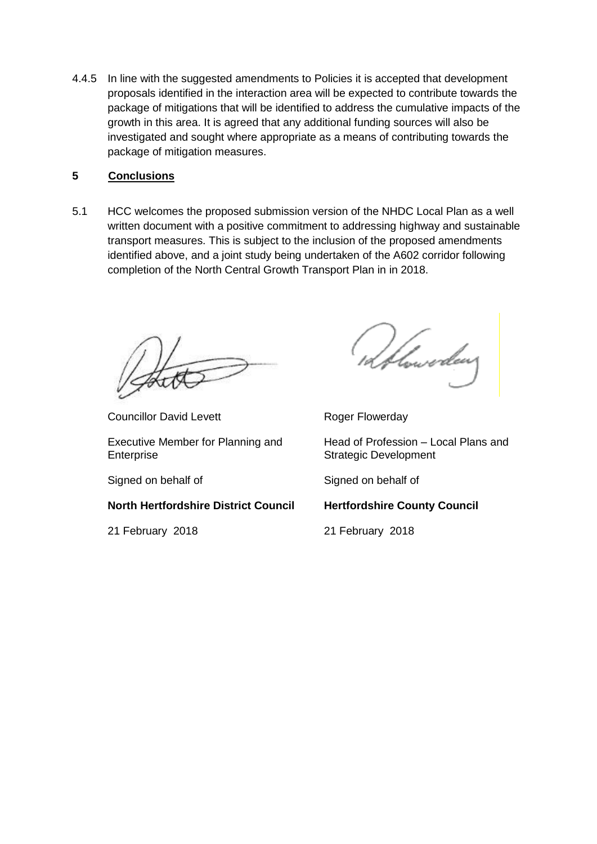4.4.5 In line with the suggested amendments to Policies it is accepted that development proposals identified in the interaction area will be expected to contribute towards the package of mitigations that will be identified to address the cumulative impacts of the growth in this area. It is agreed that any additional funding sources will also be investigated and sought where appropriate as a means of contributing towards the package of mitigation measures.

#### **5 Conclusions**

5.1 HCC welcomes the proposed submission version of the NHDC Local Plan as a well written document with a positive commitment to addressing highway and sustainable transport measures. This is subject to the inclusion of the proposed amendments identified above, and a joint study being undertaken of the A602 corridor following completion of the North Central Growth Transport Plan in in 2018.

Councillor David Levett **Roger Flowerday** 

Executive Member for Planning and Enterprise

**North Hertfordshire District Council Hertfordshire County Council**

21 February 2018 21 February 2018

toweder

Head of Profession – Local Plans and Strategic Development

Signed on behalf of Signed on behalf of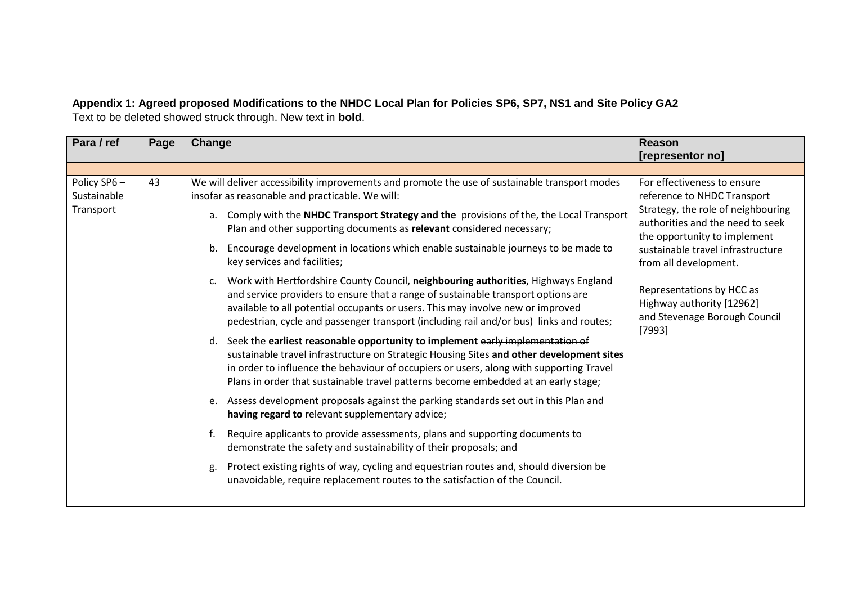**Appendix 1: Agreed proposed Modifications to the NHDC Local Plan for Policies SP6, SP7, NS1 and Site Policy GA2** Text to be deleted showed struck through. New text in **bold**.

| Para / ref                              | Page | Change                                                                                                                                                                                                                                                                                                                                                                                                                                             | <b>Reason</b><br>[representor no]                                                                                                                                                                                                  |  |                                                                                                                                                                                                                                                                                                                                                                      |                                                                                                   |
|-----------------------------------------|------|----------------------------------------------------------------------------------------------------------------------------------------------------------------------------------------------------------------------------------------------------------------------------------------------------------------------------------------------------------------------------------------------------------------------------------------------------|------------------------------------------------------------------------------------------------------------------------------------------------------------------------------------------------------------------------------------|--|----------------------------------------------------------------------------------------------------------------------------------------------------------------------------------------------------------------------------------------------------------------------------------------------------------------------------------------------------------------------|---------------------------------------------------------------------------------------------------|
|                                         |      |                                                                                                                                                                                                                                                                                                                                                                                                                                                    |                                                                                                                                                                                                                                    |  |                                                                                                                                                                                                                                                                                                                                                                      |                                                                                                   |
| Policy SP6-<br>Sustainable<br>Transport | 43   | We will deliver accessibility improvements and promote the use of sustainable transport modes<br>insofar as reasonable and practicable. We will:<br>a. Comply with the NHDC Transport Strategy and the provisions of the, the Local Transport<br>Plan and other supporting documents as relevant considered necessary;<br>Encourage development in locations which enable sustainable journeys to be made to<br>b.<br>key services and facilities; | For effectiveness to ensure<br>reference to NHDC Transport<br>Strategy, the role of neighbouring<br>authorities and the need to seek<br>the opportunity to implement<br>sustainable travel infrastructure<br>from all development. |  |                                                                                                                                                                                                                                                                                                                                                                      |                                                                                                   |
|                                         |      |                                                                                                                                                                                                                                                                                                                                                                                                                                                    |                                                                                                                                                                                                                                    |  | Work with Hertfordshire County Council, neighbouring authorities, Highways England<br>$C_{\star}$<br>and service providers to ensure that a range of sustainable transport options are<br>available to all potential occupants or users. This may involve new or improved<br>pedestrian, cycle and passenger transport (including rail and/or bus) links and routes; | Representations by HCC as<br>Highway authority [12962]<br>and Stevenage Borough Council<br>[7993] |
|                                         |      | d. Seek the earliest reasonable opportunity to implement early implementation of<br>sustainable travel infrastructure on Strategic Housing Sites and other development sites<br>in order to influence the behaviour of occupiers or users, along with supporting Travel<br>Plans in order that sustainable travel patterns become embedded at an early stage;                                                                                      |                                                                                                                                                                                                                                    |  |                                                                                                                                                                                                                                                                                                                                                                      |                                                                                                   |
|                                         |      | e. Assess development proposals against the parking standards set out in this Plan and<br>having regard to relevant supplementary advice;                                                                                                                                                                                                                                                                                                          |                                                                                                                                                                                                                                    |  |                                                                                                                                                                                                                                                                                                                                                                      |                                                                                                   |
|                                         |      | Require applicants to provide assessments, plans and supporting documents to<br>f.<br>demonstrate the safety and sustainability of their proposals; and                                                                                                                                                                                                                                                                                            |                                                                                                                                                                                                                                    |  |                                                                                                                                                                                                                                                                                                                                                                      |                                                                                                   |
|                                         |      | Protect existing rights of way, cycling and equestrian routes and, should diversion be<br>g.<br>unavoidable, require replacement routes to the satisfaction of the Council.                                                                                                                                                                                                                                                                        |                                                                                                                                                                                                                                    |  |                                                                                                                                                                                                                                                                                                                                                                      |                                                                                                   |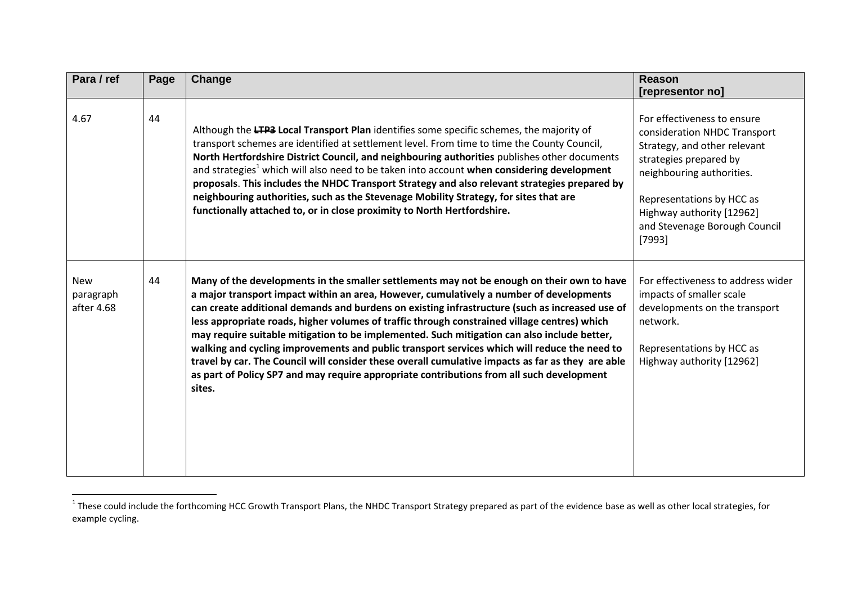| Para / ref                            | Page | Change                                                                                                                                                                                                                                                                                                                                                                                                                                                                                                                                                                                                                                                                                                                                                                                             | Reason<br>[representor no]                                                                                                                                                                                                                                |
|---------------------------------------|------|----------------------------------------------------------------------------------------------------------------------------------------------------------------------------------------------------------------------------------------------------------------------------------------------------------------------------------------------------------------------------------------------------------------------------------------------------------------------------------------------------------------------------------------------------------------------------------------------------------------------------------------------------------------------------------------------------------------------------------------------------------------------------------------------------|-----------------------------------------------------------------------------------------------------------------------------------------------------------------------------------------------------------------------------------------------------------|
| 4.67                                  | 44   | Although the LTP3 Local Transport Plan identifies some specific schemes, the majority of<br>transport schemes are identified at settlement level. From time to time the County Council,<br>North Hertfordshire District Council, and neighbouring authorities publishes other documents<br>and strategies <sup>1</sup> which will also need to be taken into account when considering development<br>proposals. This includes the NHDC Transport Strategy and also relevant strategies prepared by<br>neighbouring authorities, such as the Stevenage Mobility Strategy, for sites that are<br>functionally attached to, or in close proximity to North Hertfordshire.                                                                                                                             | For effectiveness to ensure<br>consideration NHDC Transport<br>Strategy, and other relevant<br>strategies prepared by<br>neighbouring authorities.<br>Representations by HCC as<br>Highway authority [12962]<br>and Stevenage Borough Council<br>$[7993]$ |
| <b>New</b><br>paragraph<br>after 4.68 | 44   | Many of the developments in the smaller settlements may not be enough on their own to have<br>a major transport impact within an area, However, cumulatively a number of developments<br>can create additional demands and burdens on existing infrastructure (such as increased use of<br>less appropriate roads, higher volumes of traffic through constrained village centres) which<br>may require suitable mitigation to be implemented. Such mitigation can also include better,<br>walking and cycling improvements and public transport services which will reduce the need to<br>travel by car. The Council will consider these overall cumulative impacts as far as they are able<br>as part of Policy SP7 and may require appropriate contributions from all such development<br>sites. | For effectiveness to address wider<br>impacts of smaller scale<br>developments on the transport<br>network.<br>Representations by HCC as<br>Highway authority [12962]                                                                                     |

<sup>&</sup>lt;u>nese could include the forthcoming</u> HCC Growth Transport Plans, the NHDC Transport Strategy prepared as part of the evidence base as well as other local strategies, for<br><sup>1</sup> These could include the forthcoming HCC Growth T example cycling.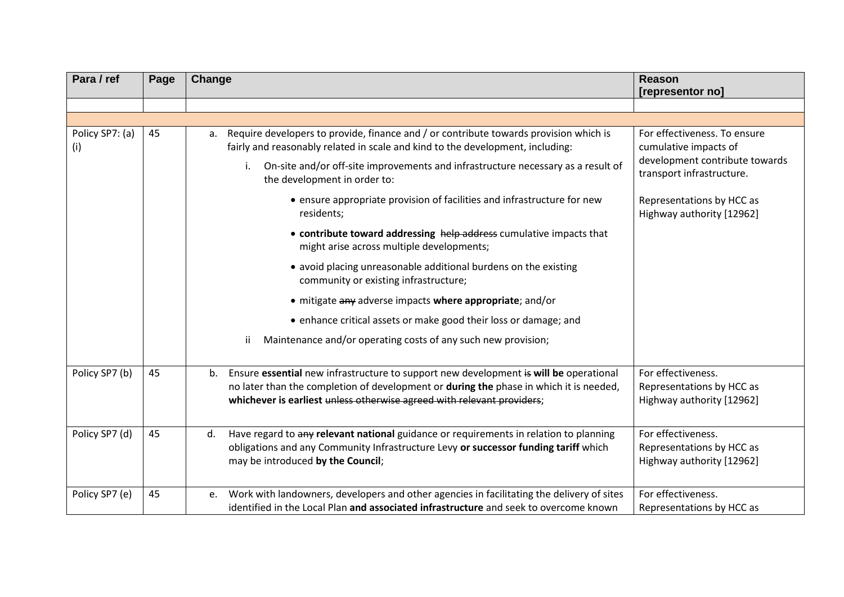| Para / ref             | Page | Change                                                                                                                                                                                                                                                          | <b>Reason</b><br>[representor no]                                            |
|------------------------|------|-----------------------------------------------------------------------------------------------------------------------------------------------------------------------------------------------------------------------------------------------------------------|------------------------------------------------------------------------------|
|                        |      |                                                                                                                                                                                                                                                                 |                                                                              |
|                        |      |                                                                                                                                                                                                                                                                 |                                                                              |
| Policy SP7: (a)<br>(i) | 45   | Require developers to provide, finance and / or contribute towards provision which is<br>a.<br>fairly and reasonably related in scale and kind to the development, including:                                                                                   | For effectiveness. To ensure<br>cumulative impacts of                        |
|                        |      | i. On-site and/or off-site improvements and infrastructure necessary as a result of<br>the development in order to:                                                                                                                                             | development contribute towards<br>transport infrastructure.                  |
|                        |      | • ensure appropriate provision of facilities and infrastructure for new<br>residents;                                                                                                                                                                           | Representations by HCC as<br>Highway authority [12962]                       |
|                        |      | • contribute toward addressing help address cumulative impacts that<br>might arise across multiple developments;                                                                                                                                                |                                                                              |
|                        |      | • avoid placing unreasonable additional burdens on the existing<br>community or existing infrastructure;                                                                                                                                                        |                                                                              |
|                        |      | • mitigate any adverse impacts where appropriate; and/or                                                                                                                                                                                                        |                                                                              |
|                        |      | • enhance critical assets or make good their loss or damage; and                                                                                                                                                                                                |                                                                              |
|                        |      | Maintenance and/or operating costs of any such new provision;<br>Ϊİ                                                                                                                                                                                             |                                                                              |
| Policy SP7 (b)         | 45   | Ensure essential new infrastructure to support new development is will be operational<br>b.<br>no later than the completion of development or during the phase in which it is needed,<br>whichever is earliest unless otherwise agreed with relevant providers; | For effectiveness.<br>Representations by HCC as<br>Highway authority [12962] |
| Policy SP7 (d)         | 45   | Have regard to any relevant national guidance or requirements in relation to planning<br>d.<br>obligations and any Community Infrastructure Levy or successor funding tariff which<br>may be introduced by the Council;                                         | For effectiveness.<br>Representations by HCC as<br>Highway authority [12962] |
| Policy SP7 (e)         | 45   | Work with landowners, developers and other agencies in facilitating the delivery of sites<br>e.<br>identified in the Local Plan and associated infrastructure and seek to overcome known                                                                        | For effectiveness.<br>Representations by HCC as                              |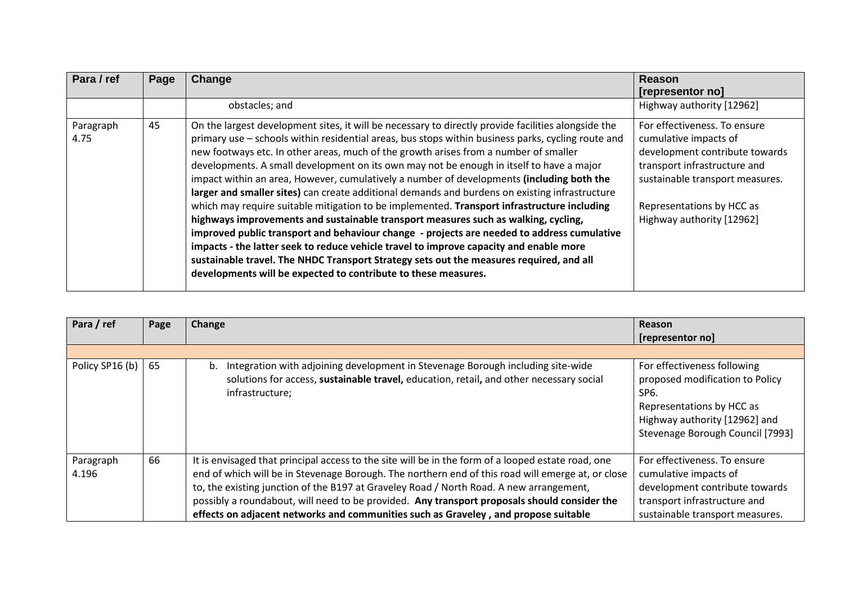| Para / ref        | Page | Change                                                                                                                                                                                                                                                                                                                                                                                                                                                                                                                                                                                                                                                                                                                                                                                                                                                                                                                                                                                                                                                                                                                                 | Reason<br>[representor no]                                                                                                                                                                                           |
|-------------------|------|----------------------------------------------------------------------------------------------------------------------------------------------------------------------------------------------------------------------------------------------------------------------------------------------------------------------------------------------------------------------------------------------------------------------------------------------------------------------------------------------------------------------------------------------------------------------------------------------------------------------------------------------------------------------------------------------------------------------------------------------------------------------------------------------------------------------------------------------------------------------------------------------------------------------------------------------------------------------------------------------------------------------------------------------------------------------------------------------------------------------------------------|----------------------------------------------------------------------------------------------------------------------------------------------------------------------------------------------------------------------|
|                   |      | obstacles; and                                                                                                                                                                                                                                                                                                                                                                                                                                                                                                                                                                                                                                                                                                                                                                                                                                                                                                                                                                                                                                                                                                                         | Highway authority [12962]                                                                                                                                                                                            |
| Paragraph<br>4.75 | 45   | On the largest development sites, it will be necessary to directly provide facilities alongside the<br>primary use - schools within residential areas, bus stops within business parks, cycling route and<br>new footways etc. In other areas, much of the growth arises from a number of smaller<br>developments. A small development on its own may not be enough in itself to have a major<br>impact within an area, However, cumulatively a number of developments (including both the<br>larger and smaller sites) can create additional demands and burdens on existing infrastructure<br>which may require suitable mitigation to be implemented. Transport infrastructure including<br>highways improvements and sustainable transport measures such as walking, cycling,<br>improved public transport and behaviour change - projects are needed to address cumulative<br>impacts - the latter seek to reduce vehicle travel to improve capacity and enable more<br>sustainable travel. The NHDC Transport Strategy sets out the measures required, and all<br>developments will be expected to contribute to these measures. | For effectiveness. To ensure<br>cumulative impacts of<br>development contribute towards<br>transport infrastructure and<br>sustainable transport measures.<br>Representations by HCC as<br>Highway authority [12962] |

| Para / ref                 | Page | Change                                                                                                                                                                                                                                                                                                                                                                                                                                                                                    | <b>Reason</b>                                                                                                                                                                       |
|----------------------------|------|-------------------------------------------------------------------------------------------------------------------------------------------------------------------------------------------------------------------------------------------------------------------------------------------------------------------------------------------------------------------------------------------------------------------------------------------------------------------------------------------|-------------------------------------------------------------------------------------------------------------------------------------------------------------------------------------|
|                            |      |                                                                                                                                                                                                                                                                                                                                                                                                                                                                                           | [representor no]                                                                                                                                                                    |
|                            |      |                                                                                                                                                                                                                                                                                                                                                                                                                                                                                           |                                                                                                                                                                                     |
| Policy SP16 (b) $\vert$ 65 |      | Integration with adjoining development in Stevenage Borough including site-wide<br>b.<br>solutions for access, sustainable travel, education, retail, and other necessary social<br>infrastructure;                                                                                                                                                                                                                                                                                       | For effectiveness following<br>proposed modification to Policy<br>SP <sub>6</sub><br>Representations by HCC as<br>Highway authority [12962] and<br>Stevenage Borough Council [7993] |
| Paragraph<br>4.196         | 66   | It is envisaged that principal access to the site will be in the form of a looped estate road, one<br>end of which will be in Stevenage Borough. The northern end of this road will emerge at, or close<br>to, the existing junction of the B197 at Graveley Road / North Road. A new arrangement,<br>possibly a roundabout, will need to be provided. Any transport proposals should consider the<br>effects on adjacent networks and communities such as Graveley, and propose suitable | For effectiveness. To ensure<br>cumulative impacts of<br>development contribute towards<br>transport infrastructure and<br>sustainable transport measures.                          |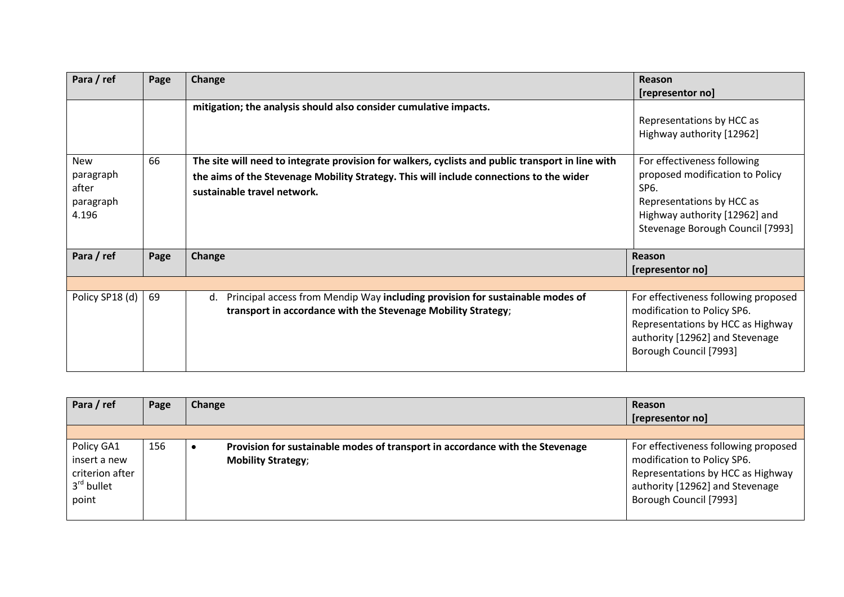| Para / ref                                             | Page | Change                                                                                                                                                                                                                      | Reason<br>[representor no]                                                                                                                                                            |
|--------------------------------------------------------|------|-----------------------------------------------------------------------------------------------------------------------------------------------------------------------------------------------------------------------------|---------------------------------------------------------------------------------------------------------------------------------------------------------------------------------------|
|                                                        |      | mitigation; the analysis should also consider cumulative impacts.                                                                                                                                                           | Representations by HCC as<br>Highway authority [12962]                                                                                                                                |
| <b>New</b><br>paragraph<br>after<br>paragraph<br>4.196 | 66   | The site will need to integrate provision for walkers, cyclists and public transport in line with<br>the aims of the Stevenage Mobility Strategy. This will include connections to the wider<br>sustainable travel network. | For effectiveness following<br>proposed modification to Policy<br>SP <sub>6</sub> .<br>Representations by HCC as<br>Highway authority [12962] and<br>Stevenage Borough Council [7993] |
| Para / ref                                             | Page | <b>Change</b>                                                                                                                                                                                                               | Reason<br>[representor no]                                                                                                                                                            |
|                                                        |      |                                                                                                                                                                                                                             |                                                                                                                                                                                       |
| Policy SP18 (d)                                        | 69   | Principal access from Mendip Way including provision for sustainable modes of<br>d.<br>transport in accordance with the Stevenage Mobility Strategy;                                                                        | For effectiveness following proposed<br>modification to Policy SP6.<br>Representations by HCC as Highway<br>authority [12962] and Stevenage<br>Borough Council [7993]                 |

| Para / ref                                                                       | Page | Change                                                                                                     | Reason<br>[representor no]                                                                                                                                            |
|----------------------------------------------------------------------------------|------|------------------------------------------------------------------------------------------------------------|-----------------------------------------------------------------------------------------------------------------------------------------------------------------------|
|                                                                                  |      |                                                                                                            |                                                                                                                                                                       |
| Policy GA1<br>insert a new<br>criterion after<br>3 <sup>rd</sup> bullet<br>point | 156  | Provision for sustainable modes of transport in accordance with the Stevenage<br><b>Mobility Strategy;</b> | For effectiveness following proposed<br>modification to Policy SP6.<br>Representations by HCC as Highway<br>authority [12962] and Stevenage<br>Borough Council [7993] |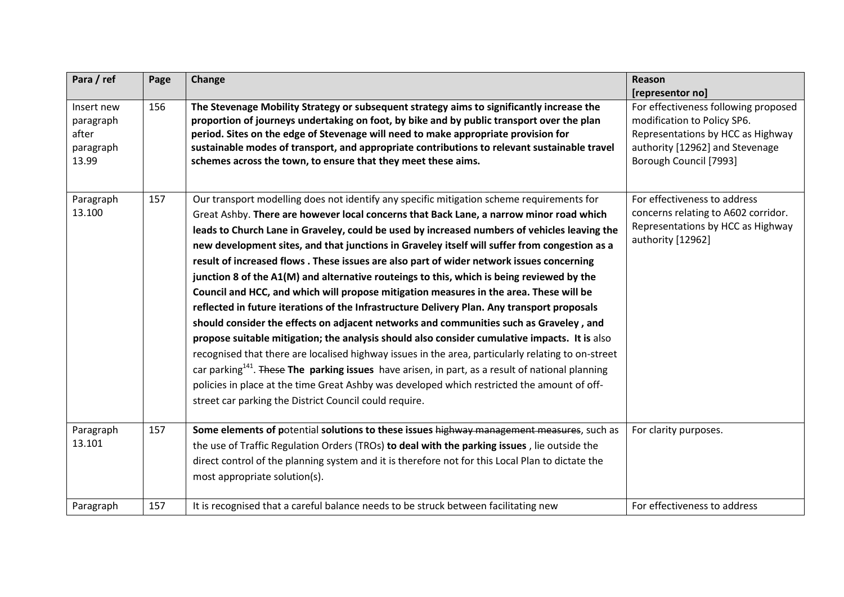| Para / ref                                             | Page       | Change                                                                                                                                                                                                                                                                                                                                                                                                                                                                                                                                                                                                                                                                                                                                                                                                                                                                                                                                                                                                                                                                                                                                                                                                                                                                                                                                             | Reason<br>[representor no]                                                                                                                                            |
|--------------------------------------------------------|------------|----------------------------------------------------------------------------------------------------------------------------------------------------------------------------------------------------------------------------------------------------------------------------------------------------------------------------------------------------------------------------------------------------------------------------------------------------------------------------------------------------------------------------------------------------------------------------------------------------------------------------------------------------------------------------------------------------------------------------------------------------------------------------------------------------------------------------------------------------------------------------------------------------------------------------------------------------------------------------------------------------------------------------------------------------------------------------------------------------------------------------------------------------------------------------------------------------------------------------------------------------------------------------------------------------------------------------------------------------|-----------------------------------------------------------------------------------------------------------------------------------------------------------------------|
| Insert new<br>paragraph<br>after<br>paragraph<br>13.99 | 156        | The Stevenage Mobility Strategy or subsequent strategy aims to significantly increase the<br>proportion of journeys undertaking on foot, by bike and by public transport over the plan<br>period. Sites on the edge of Stevenage will need to make appropriate provision for<br>sustainable modes of transport, and appropriate contributions to relevant sustainable travel<br>schemes across the town, to ensure that they meet these aims.                                                                                                                                                                                                                                                                                                                                                                                                                                                                                                                                                                                                                                                                                                                                                                                                                                                                                                      | For effectiveness following proposed<br>modification to Policy SP6.<br>Representations by HCC as Highway<br>authority [12962] and Stevenage<br>Borough Council [7993] |
| Paragraph<br>13.100                                    | 157        | Our transport modelling does not identify any specific mitigation scheme requirements for<br>Great Ashby. There are however local concerns that Back Lane, a narrow minor road which<br>leads to Church Lane in Graveley, could be used by increased numbers of vehicles leaving the<br>new development sites, and that junctions in Graveley itself will suffer from congestion as a<br>result of increased flows . These issues are also part of wider network issues concerning<br>junction 8 of the A1(M) and alternative routeings to this, which is being reviewed by the<br>Council and HCC, and which will propose mitigation measures in the area. These will be<br>reflected in future iterations of the Infrastructure Delivery Plan. Any transport proposals<br>should consider the effects on adjacent networks and communities such as Graveley, and<br>propose suitable mitigation; the analysis should also consider cumulative impacts. It is also<br>recognised that there are localised highway issues in the area, particularly relating to on-street<br>car parking <sup>141</sup> . These The parking issues have arisen, in part, as a result of national planning<br>policies in place at the time Great Ashby was developed which restricted the amount of off-<br>street car parking the District Council could require. | For effectiveness to address<br>concerns relating to A602 corridor.<br>Representations by HCC as Highway<br>authority [12962]                                         |
| Paragraph<br>13.101<br>Paragraph                       | 157<br>157 | Some elements of potential solutions to these issues highway management measures, such as<br>the use of Traffic Regulation Orders (TROs) to deal with the parking issues, lie outside the<br>direct control of the planning system and it is therefore not for this Local Plan to dictate the<br>most appropriate solution(s).<br>It is recognised that a careful balance needs to be struck between facilitating new                                                                                                                                                                                                                                                                                                                                                                                                                                                                                                                                                                                                                                                                                                                                                                                                                                                                                                                              | For clarity purposes.<br>For effectiveness to address                                                                                                                 |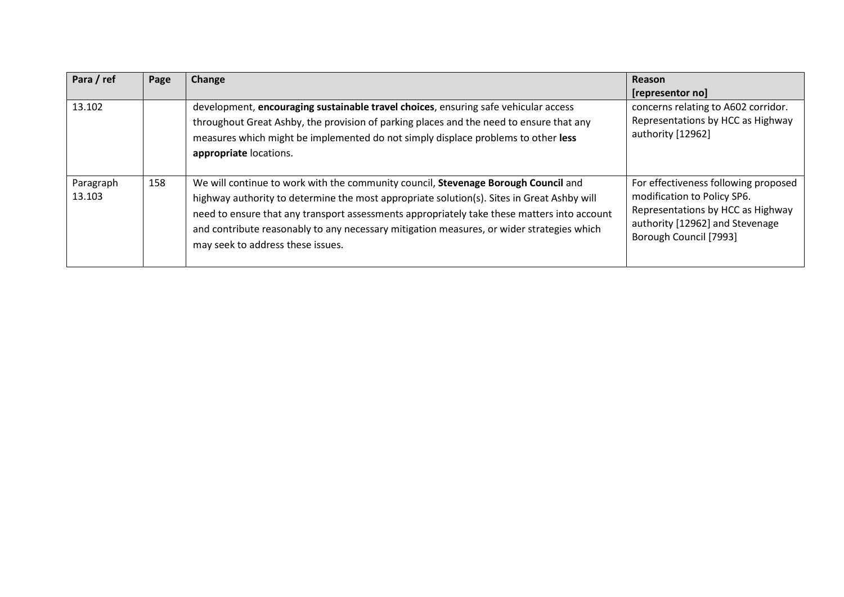| Para / ref          | Page | Change                                                                                                                                                                                                                                                                                                                                                                                                            | Reason                                                                                                                                                                |
|---------------------|------|-------------------------------------------------------------------------------------------------------------------------------------------------------------------------------------------------------------------------------------------------------------------------------------------------------------------------------------------------------------------------------------------------------------------|-----------------------------------------------------------------------------------------------------------------------------------------------------------------------|
|                     |      |                                                                                                                                                                                                                                                                                                                                                                                                                   | [representor no]                                                                                                                                                      |
| 13.102              |      | development, encouraging sustainable travel choices, ensuring safe vehicular access<br>throughout Great Ashby, the provision of parking places and the need to ensure that any<br>measures which might be implemented do not simply displace problems to other less<br>appropriate locations.                                                                                                                     | concerns relating to A602 corridor.<br>Representations by HCC as Highway<br>authority [12962]                                                                         |
| Paragraph<br>13.103 | 158  | We will continue to work with the community council, Stevenage Borough Council and<br>highway authority to determine the most appropriate solution(s). Sites in Great Ashby will<br>need to ensure that any transport assessments appropriately take these matters into account<br>and contribute reasonably to any necessary mitigation measures, or wider strategies which<br>may seek to address these issues. | For effectiveness following proposed<br>modification to Policy SP6.<br>Representations by HCC as Highway<br>authority [12962] and Stevenage<br>Borough Council [7993] |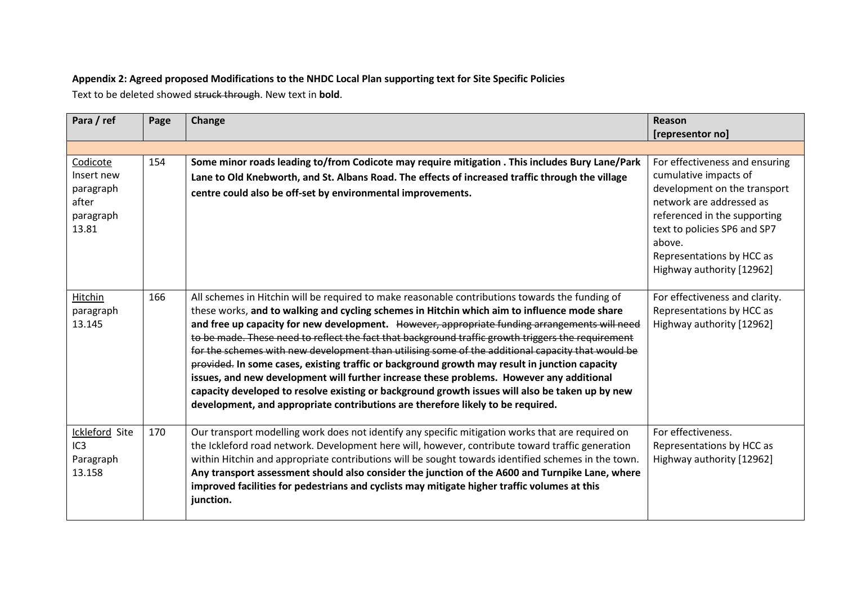#### **Appendix 2: Agreed proposed Modifications to the NHDC Local Plan supporting text for Site Specific Policies**

Text to be deleted showed struck through. New text in **bold**.

| Para / ref                                                         | Page | Change                                                                                                                                                                                                                                                                                                                                                                                                                                                                                                                                                                                                                                                                                                                                                                                                                                                                                          | Reason<br>[representor no]                                                                                                                                                                                                                              |
|--------------------------------------------------------------------|------|-------------------------------------------------------------------------------------------------------------------------------------------------------------------------------------------------------------------------------------------------------------------------------------------------------------------------------------------------------------------------------------------------------------------------------------------------------------------------------------------------------------------------------------------------------------------------------------------------------------------------------------------------------------------------------------------------------------------------------------------------------------------------------------------------------------------------------------------------------------------------------------------------|---------------------------------------------------------------------------------------------------------------------------------------------------------------------------------------------------------------------------------------------------------|
|                                                                    |      |                                                                                                                                                                                                                                                                                                                                                                                                                                                                                                                                                                                                                                                                                                                                                                                                                                                                                                 |                                                                                                                                                                                                                                                         |
| Codicote<br>Insert new<br>paragraph<br>after<br>paragraph<br>13.81 | 154  | Some minor roads leading to/from Codicote may require mitigation . This includes Bury Lane/Park<br>Lane to Old Knebworth, and St. Albans Road. The effects of increased traffic through the village<br>centre could also be off-set by environmental improvements.                                                                                                                                                                                                                                                                                                                                                                                                                                                                                                                                                                                                                              | For effectiveness and ensuring<br>cumulative impacts of<br>development on the transport<br>network are addressed as<br>referenced in the supporting<br>text to policies SP6 and SP7<br>above.<br>Representations by HCC as<br>Highway authority [12962] |
| Hitchin<br>paragraph<br>13.145                                     | 166  | All schemes in Hitchin will be required to make reasonable contributions towards the funding of<br>these works, and to walking and cycling schemes in Hitchin which aim to influence mode share<br>and free up capacity for new development. However, appropriate funding arrangements will need<br>to be made. These need to reflect the fact that background traffic growth triggers the requirement<br>for the schemes with new development than utilising some of the additional capacity that would be<br>provided. In some cases, existing traffic or background growth may result in junction capacity<br>issues, and new development will further increase these problems. However any additional<br>capacity developed to resolve existing or background growth issues will also be taken up by new<br>development, and appropriate contributions are therefore likely to be required. | For effectiveness and clarity.<br>Representations by HCC as<br>Highway authority [12962]                                                                                                                                                                |
| Ickleford Site<br>IC3<br>Paragraph<br>13.158                       | 170  | Our transport modelling work does not identify any specific mitigation works that are required on<br>the Ickleford road network. Development here will, however, contribute toward traffic generation<br>within Hitchin and appropriate contributions will be sought towards identified schemes in the town.<br>Any transport assessment should also consider the junction of the A600 and Turnpike Lane, where<br>improved facilities for pedestrians and cyclists may mitigate higher traffic volumes at this<br>junction.                                                                                                                                                                                                                                                                                                                                                                    | For effectiveness.<br>Representations by HCC as<br>Highway authority [12962]                                                                                                                                                                            |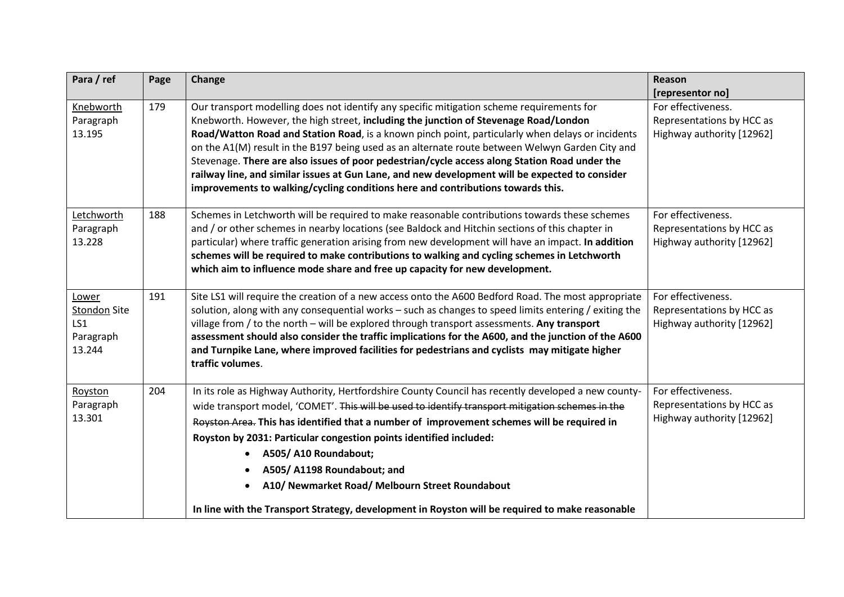| Para / ref                                                 | Page | Change                                                                                                                                                                                                                                                                                                                                                                                                                                                                                                                                                                                                                                                                         | Reason<br>[representor no]                                                   |
|------------------------------------------------------------|------|--------------------------------------------------------------------------------------------------------------------------------------------------------------------------------------------------------------------------------------------------------------------------------------------------------------------------------------------------------------------------------------------------------------------------------------------------------------------------------------------------------------------------------------------------------------------------------------------------------------------------------------------------------------------------------|------------------------------------------------------------------------------|
| Knebworth<br>Paragraph<br>13.195                           | 179  | Our transport modelling does not identify any specific mitigation scheme requirements for<br>Knebworth. However, the high street, including the junction of Stevenage Road/London<br>Road/Watton Road and Station Road, is a known pinch point, particularly when delays or incidents<br>on the A1(M) result in the B197 being used as an alternate route between Welwyn Garden City and<br>Stevenage. There are also issues of poor pedestrian/cycle access along Station Road under the<br>railway line, and similar issues at Gun Lane, and new development will be expected to consider<br>improvements to walking/cycling conditions here and contributions towards this. | For effectiveness.<br>Representations by HCC as<br>Highway authority [12962] |
| Letchworth<br>Paragraph<br>13.228                          | 188  | Schemes in Letchworth will be required to make reasonable contributions towards these schemes<br>and / or other schemes in nearby locations (see Baldock and Hitchin sections of this chapter in<br>particular) where traffic generation arising from new development will have an impact. In addition<br>schemes will be required to make contributions to walking and cycling schemes in Letchworth<br>which aim to influence mode share and free up capacity for new development.                                                                                                                                                                                           | For effectiveness.<br>Representations by HCC as<br>Highway authority [12962] |
| Lower<br><b>Stondon Site</b><br>LS1<br>Paragraph<br>13.244 | 191  | Site LS1 will require the creation of a new access onto the A600 Bedford Road. The most appropriate<br>solution, along with any consequential works - such as changes to speed limits entering / exiting the<br>village from / to the north - will be explored through transport assessments. Any transport<br>assessment should also consider the traffic implications for the A600, and the junction of the A600<br>and Turnpike Lane, where improved facilities for pedestrians and cyclists may mitigate higher<br>traffic volumes.                                                                                                                                        | For effectiveness.<br>Representations by HCC as<br>Highway authority [12962] |
| Royston<br>Paragraph<br>13.301                             | 204  | In its role as Highway Authority, Hertfordshire County Council has recently developed a new county-<br>wide transport model, 'COMET'. This will be used to identify transport mitigation schemes in the<br>Royston Area. This has identified that a number of improvement schemes will be required in<br>Royston by 2031: Particular congestion points identified included:<br>A505/A10 Roundabout;<br>A505/ A1198 Roundabout; and<br>$\bullet$<br>A10/ Newmarket Road/ Melbourn Street Roundabout<br>In line with the Transport Strategy, development in Royston will be required to make reasonable                                                                          | For effectiveness.<br>Representations by HCC as<br>Highway authority [12962] |